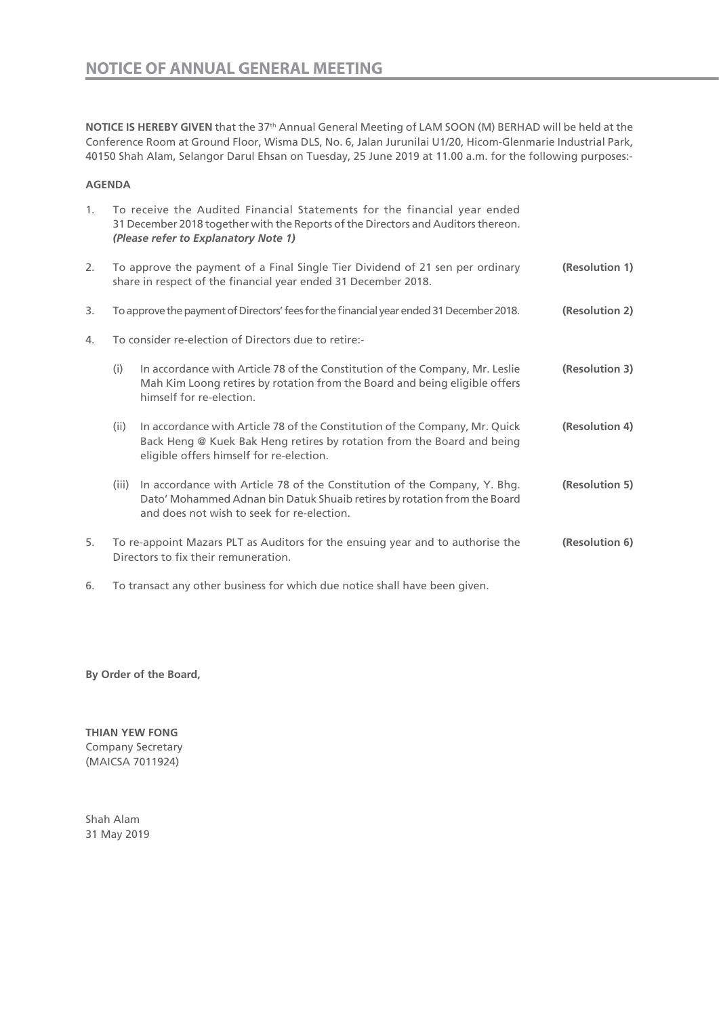**NOTICE IS HEREBY GIVEN** that the 37th Annual General Meeting of LAM SOON (M) BERHAD will be held at the Conference Room at Ground Floor, Wisma DLS, No. 6, Jalan Jurunilai U1/20, Hicom-Glenmarie Industrial Park, 40150 Shah Alam, Selangor Darul Ehsan on Tuesday, 25 June 2019 at 11.00 a.m. for the following purposes:-

## **AGENDA**

| 1. | To receive the Audited Financial Statements for the financial year ended<br>31 December 2018 together with the Reports of the Directors and Auditors thereon.<br>(Please refer to Explanatory Note 1) |                                                                                                                                                                                                     |                |  |
|----|-------------------------------------------------------------------------------------------------------------------------------------------------------------------------------------------------------|-----------------------------------------------------------------------------------------------------------------------------------------------------------------------------------------------------|----------------|--|
| 2. | To approve the payment of a Final Single Tier Dividend of 21 sen per ordinary<br>share in respect of the financial year ended 31 December 2018.                                                       |                                                                                                                                                                                                     | (Resolution 1) |  |
| 3. |                                                                                                                                                                                                       | (Resolution 2)<br>To approve the payment of Directors' fees for the financial year ended 31 December 2018.                                                                                          |                |  |
| 4. |                                                                                                                                                                                                       | To consider re-election of Directors due to retire:-                                                                                                                                                |                |  |
|    | (i)                                                                                                                                                                                                   | In accordance with Article 78 of the Constitution of the Company, Mr. Leslie<br>Mah Kim Loong retires by rotation from the Board and being eligible offers<br>himself for re-election.              | (Resolution 3) |  |
|    | (ii)                                                                                                                                                                                                  | In accordance with Article 78 of the Constitution of the Company, Mr. Quick<br>Back Heng @ Kuek Bak Heng retires by rotation from the Board and being<br>eligible offers himself for re-election.   | (Resolution 4) |  |
|    | (iii)                                                                                                                                                                                                 | In accordance with Article 78 of the Constitution of the Company, Y. Bhg.<br>Dato' Mohammed Adnan bin Datuk Shuaib retires by rotation from the Board<br>and does not wish to seek for re-election. | (Resolution 5) |  |
| 5. | To re-appoint Mazars PLT as Auditors for the ensuing year and to authorise the<br>(Resolution 6)<br>Directors to fix their remuneration.                                                              |                                                                                                                                                                                                     |                |  |

6. To transact any other business for which due notice shall have been given.

**By Order of the Board,**

**THIAN YEW FONG**  Company Secretary (MAICSA 7011924)

Shah Alam 31 May 2019